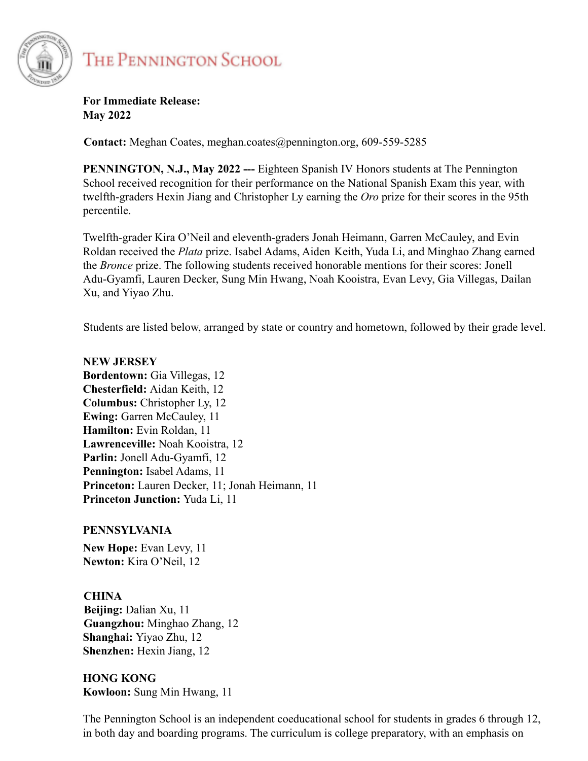

## THE PENNINGTON SCHOOL

**For Immediate Release: May 2022**

**Contact:** Meghan Coates, meghan.coates@pennington.org, 609-559-5285

**PENNINGTON, N.J., May 2022 ---** Eighteen Spanish IV Honors students at The Pennington School received recognition for their performance on the National Spanish Exam this year, with twelfth-graders Hexin Jiang and Christopher Ly earning the *Oro* prize for their scores in the 95th percentile.

Twelfth-grader Kira O'Neil and eleventh-graders Jonah Heimann, Garren McCauley, and Evin Roldan received the *Plata* prize. Isabel Adams, Aiden Keith, Yuda Li, and Minghao Zhang earned the *Bronce* prize. The following students received honorable mentions for their scores: Jonell Adu-Gyamfi, Lauren Decker, Sung Min Hwang, Noah Kooistra, Evan Levy, Gia Villegas, Dailan Xu, and Yiyao Zhu.

Students are listed below, arranged by state or country and hometown, followed by their grade level.

## **NEW JERSEY Bordentown:** Gia Villegas, 12 **Chesterfield:** Aidan Keith, 12 **Columbus:** Christopher Ly, 12 **Ewing: Garren McCauley, 11 Hamilton:** Evin Roldan, 11 **Lawrenceville:** Noah Kooistra, 12 **Parlin:** Jonell Adu-Gyamfi, 12 **Pennington:** Isabel Adams, 11 **Princeton:** Lauren Decker, 11; Jonah Heimann, 11 **Princeton Junction:** Yuda Li, 11

## **PENNSYLVANIA**

**New Hope:** Evan Levy, 11 **Newton:** Kira O'Neil, 12

## **CHINA**

**Beijing:** Dalian Xu, 11 **Guangzhou:** Minghao Zhang, 12 **Shanghai:** Yiyao Zhu, 12 **Shenzhen:** Hexin Jiang, 12

**HONG KONG Kowloon:** Sung Min Hwang, 11

The Pennington School is an independent coeducational school for students in grades 6 through 12, in both day and boarding programs. The curriculum is college preparatory, with an emphasis on